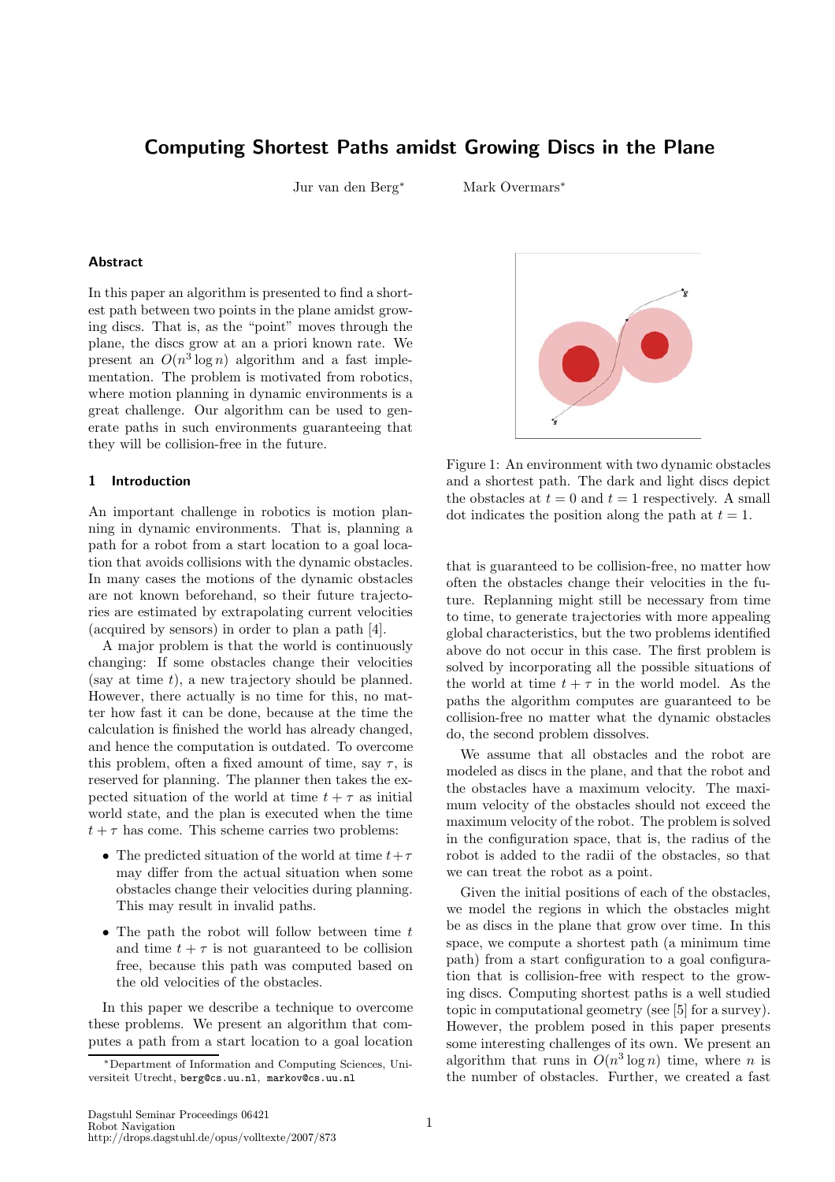# Computing Shortest Paths amidst Growing Discs in the Plane

Jur van den Berg<sup>∗</sup> Mark Overmars<sup>∗</sup>

# Abstract

In this paper an algorithm is presented to find a shortest path between two points in the plane amidst growing discs. That is, as the "point" moves through the plane, the discs grow at an a priori known rate. We present an  $O(n^3 \log n)$  algorithm and a fast implementation. The problem is motivated from robotics, where motion planning in dynamic environments is a great challenge. Our algorithm can be used to generate paths in such environments guaranteeing that they will be collision-free in the future.

#### 1 Introduction

An important challenge in robotics is motion planning in dynamic environments. That is, planning a path for a robot from a start location to a goal location that avoids collisions with the dynamic obstacles. In many cases the motions of the dynamic obstacles are not known beforehand, so their future trajectories are estimated by extrapolating current velocities (acquired by sensors) in order to plan a path [4].

A major problem is that the world is continuously changing: If some obstacles change their velocities (say at time  $t$ ), a new trajectory should be planned. However, there actually is no time for this, no matter how fast it can be done, because at the time the calculation is finished the world has already changed, and hence the computation is outdated. To overcome this problem, often a fixed amount of time, say  $\tau$ , is reserved for planning. The planner then takes the expected situation of the world at time  $t + \tau$  as initial world state, and the plan is executed when the time  $t + \tau$  has come. This scheme carries two problems:

- The predicted situation of the world at time  $t+\tau$ may differ from the actual situation when some obstacles change their velocities during planning. This may result in invalid paths.
- The path the robot will follow between time  $t$ and time  $t + \tau$  is not guaranteed to be collision free, because this path was computed based on the old velocities of the obstacles.

In this paper we describe a technique to overcome these problems. We present an algorithm that computes a path from a start location to a goal location



Figure 1: An environment with two dynamic obstacles and a shortest path. The dark and light discs depict the obstacles at  $t = 0$  and  $t = 1$  respectively. A small dot indicates the position along the path at  $t = 1$ .

that is guaranteed to be collision-free, no matter how often the obstacles change their velocities in the future. Replanning might still be necessary from time to time, to generate trajectories with more appealing global characteristics, but the two problems identified above do not occur in this case. The first problem is solved by incorporating all the possible situations of the world at time  $t + \tau$  in the world model. As the paths the algorithm computes are guaranteed to be collision-free no matter what the dynamic obstacles do, the second problem dissolves.

We assume that all obstacles and the robot are modeled as discs in the plane, and that the robot and the obstacles have a maximum velocity. The maximum velocity of the obstacles should not exceed the maximum velocity of the robot. The problem is solved in the configuration space, that is, the radius of the robot is added to the radii of the obstacles, so that we can treat the robot as a point.

Given the initial positions of each of the obstacles, we model the regions in which the obstacles might be as discs in the plane that grow over time. In this space, we compute a shortest path (a minimum time path) from a start configuration to a goal configuration that is collision-free with respect to the growing discs. Computing shortest paths is a well studied topic in computational geometry (see [5] for a survey). However, the problem posed in this paper presents some interesting challenges of its own. We present an algorithm that runs in  $O(n^3 \log n)$  time, where *n* is the number of obstacles. Further, we created a fast

<sup>∗</sup>Department of Information and Computing Sciences, Universiteit Utrecht, berg@cs.uu.nl, markov@cs.uu.nl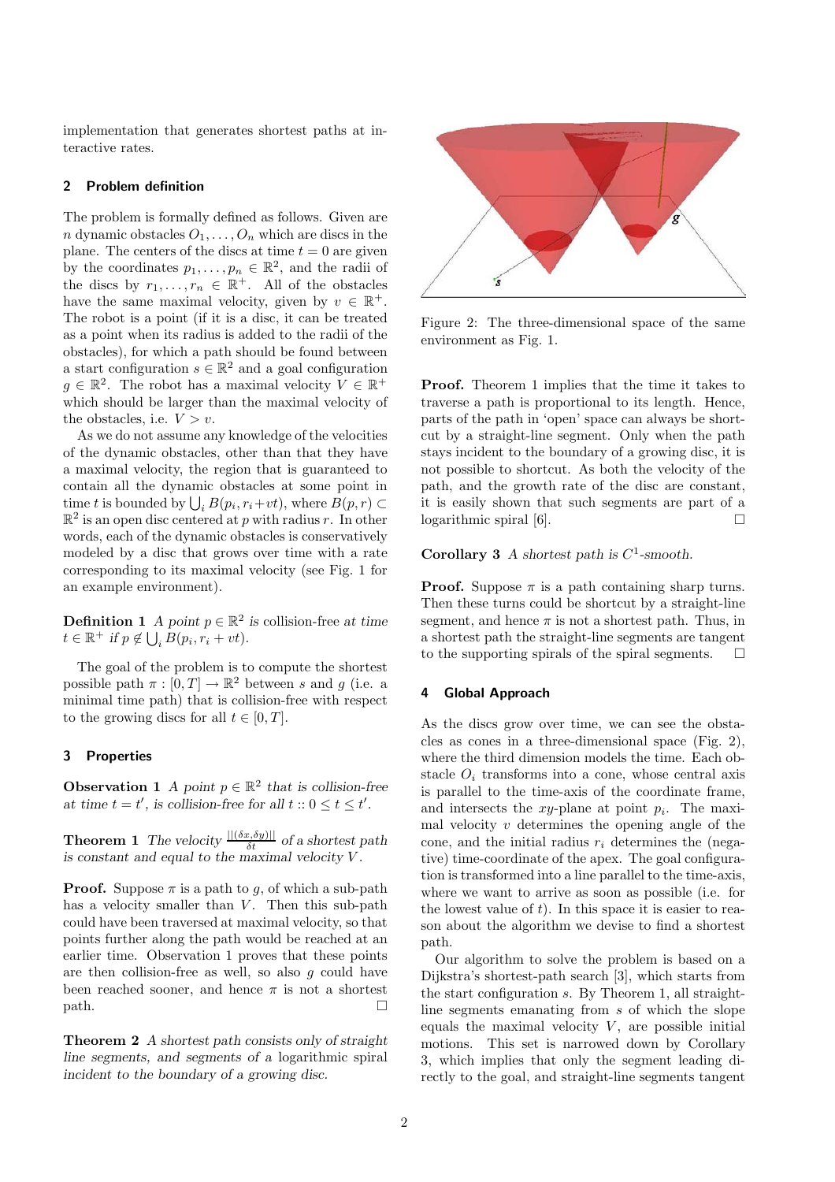implementation that generates shortest paths at interactive rates.

## 2 Problem definition

The problem is formally defined as follows. Given are n dynamic obstacles  $O_1, \ldots, O_n$  which are discs in the plane. The centers of the discs at time  $t = 0$  are given by the coordinates  $p_1, \ldots, p_n \in \mathbb{R}^2$ , and the radii of the discs by  $r_1, \ldots, r_n \in \mathbb{R}^+$ . All of the obstacles have the same maximal velocity, given by  $v \in \mathbb{R}^+$ . The robot is a point (if it is a disc, it can be treated as a point when its radius is added to the radii of the obstacles), for which a path should be found between a start configuration  $s \in \mathbb{R}^2$  and a goal configuration  $g \in \mathbb{R}^2$ . The robot has a maximal velocity  $V \in \mathbb{R}^+$ which should be larger than the maximal velocity of the obstacles, i.e.  $V > v$ .

As we do not assume any knowledge of the velocities of the dynamic obstacles, other than that they have a maximal velocity, the region that is guaranteed to contain all the dynamic obstacles at some point in time t is bounded by  $\bigcup_i B(p_i, r_i+vt)$ , where  $B(p, r) \subset$  $\mathbb{R}^2$  is an open disc centered at p with radius r. In other words, each of the dynamic obstacles is conservatively modeled by a disc that grows over time with a rate corresponding to its maximal velocity (see Fig. 1 for an example environment).

**Definition 1** A point  $p \in \mathbb{R}^2$  is collision-free at time  $t \in \mathbb{R}^+$  if  $p \notin \bigcup_i B(p_i, r_i + vt)$ .

The goal of the problem is to compute the shortest possible path  $\pi : [0, T] \to \mathbb{R}^2$  between s and g (i.e. a minimal time path) that is collision-free with respect to the growing discs for all  $t \in [0, T]$ .

## 3 Properties

**Observation 1** A point  $p \in \mathbb{R}^2$  that is collision-free at time  $t = t'$ , is collision-free for all  $t :: 0 \le t \le t'$ .

**Theorem 1** The velocity  $\frac{||(\delta x, \delta y)||}{\delta t}$  of a shortest path is constant and equal to the maximal velocity V .

**Proof.** Suppose  $\pi$  is a path to g, of which a sub-path has a velocity smaller than  $V$ . Then this sub-path could have been traversed at maximal velocity, so that points further along the path would be reached at an earlier time. Observation 1 proves that these points are then collision-free as well, so also  $g$  could have been reached sooner, and hence  $\pi$  is not a shortest  $path.$ 

Theorem 2 A shortest path consists only of straight line segments, and segments of a logarithmic spiral incident to the boundary of a growing disc.



Figure 2: The three-dimensional space of the same environment as Fig. 1.

Proof. Theorem 1 implies that the time it takes to traverse a path is proportional to its length. Hence, parts of the path in 'open' space can always be shortcut by a straight-line segment. Only when the path stays incident to the boundary of a growing disc, it is not possible to shortcut. As both the velocity of the path, and the growth rate of the disc are constant, it is easily shown that such segments are part of a logarithmic spiral [6].  $\Box$ 

Corollary 3 A shortest path is  $C^1$ -smooth.

**Proof.** Suppose  $\pi$  is a path containing sharp turns. Then these turns could be shortcut by a straight-line segment, and hence  $\pi$  is not a shortest path. Thus, in a shortest path the straight-line segments are tangent to the supporting spirals of the spiral segments.  $\Box$ 

#### 4 Global Approach

As the discs grow over time, we can see the obstacles as cones in a three-dimensional space (Fig. 2), where the third dimension models the time. Each obstacle  $O_i$  transforms into a cone, whose central axis is parallel to the time-axis of the coordinate frame, and intersects the  $xy$ -plane at point  $p_i$ . The maximal velocity  $v$  determines the opening angle of the cone, and the initial radius  $r_i$  determines the (negative) time-coordinate of the apex. The goal configuration is transformed into a line parallel to the time-axis, where we want to arrive as soon as possible (i.e. for the lowest value of  $t$ ). In this space it is easier to reason about the algorithm we devise to find a shortest path.

Our algorithm to solve the problem is based on a Dijkstra's shortest-path search [3], which starts from the start configuration s. By Theorem 1, all straightline segments emanating from s of which the slope equals the maximal velocity  $V$ , are possible initial motions. This set is narrowed down by Corollary 3, which implies that only the segment leading directly to the goal, and straight-line segments tangent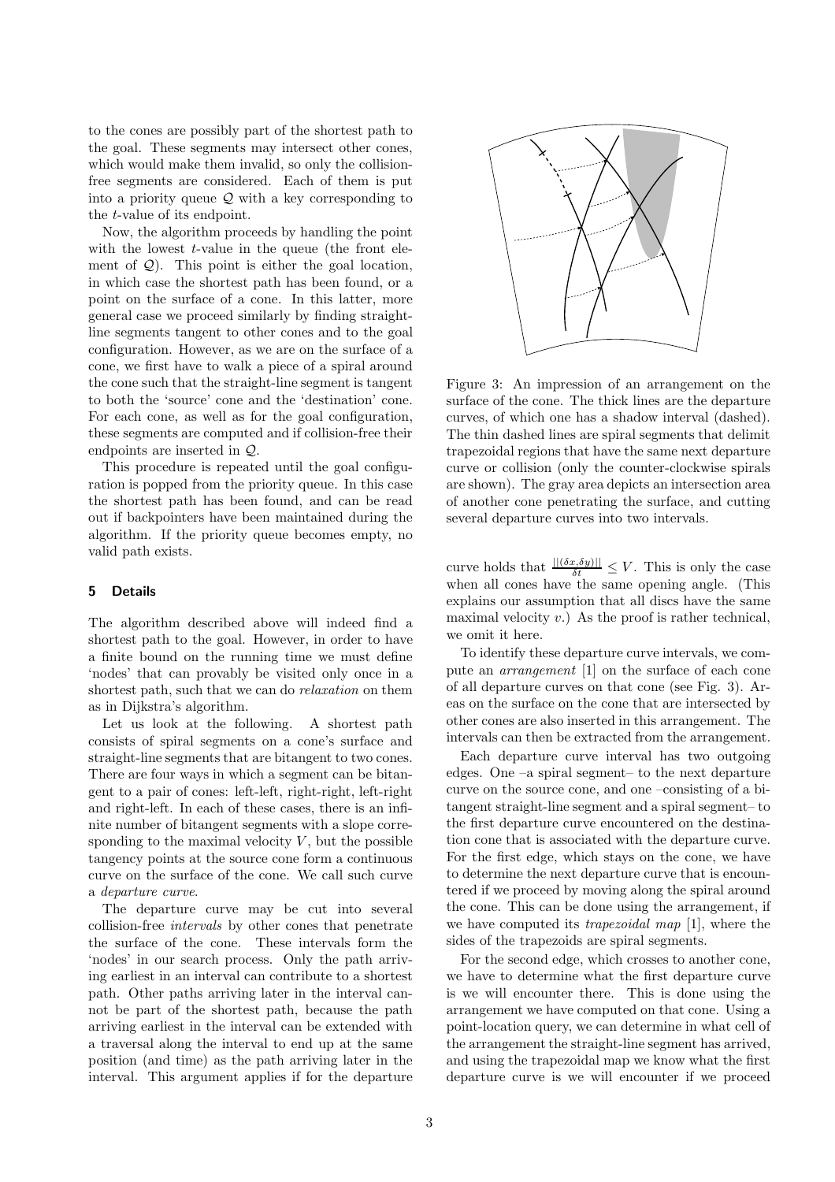to the cones are possibly part of the shortest path to the goal. These segments may intersect other cones, which would make them invalid, so only the collisionfree segments are considered. Each of them is put into a priority queue  $Q$  with a key corresponding to the t-value of its endpoint.

Now, the algorithm proceeds by handling the point with the lowest  $t$ -value in the queue (the front element of  $Q$ ). This point is either the goal location, in which case the shortest path has been found, or a point on the surface of a cone. In this latter, more general case we proceed similarly by finding straightline segments tangent to other cones and to the goal configuration. However, as we are on the surface of a cone, we first have to walk a piece of a spiral around the cone such that the straight-line segment is tangent to both the 'source' cone and the 'destination' cone. For each cone, as well as for the goal configuration, these segments are computed and if collision-free their endpoints are inserted in Q.

This procedure is repeated until the goal configuration is popped from the priority queue. In this case the shortest path has been found, and can be read out if backpointers have been maintained during the algorithm. If the priority queue becomes empty, no valid path exists.

# 5 Details

The algorithm described above will indeed find a shortest path to the goal. However, in order to have a finite bound on the running time we must define 'nodes' that can provably be visited only once in a shortest path, such that we can do relaxation on them as in Dijkstra's algorithm.

Let us look at the following. A shortest path consists of spiral segments on a cone's surface and straight-line segments that are bitangent to two cones. There are four ways in which a segment can be bitangent to a pair of cones: left-left, right-right, left-right and right-left. In each of these cases, there is an infinite number of bitangent segments with a slope corresponding to the maximal velocity  $V$ , but the possible tangency points at the source cone form a continuous curve on the surface of the cone. We call such curve a departure curve.

The departure curve may be cut into several collision-free intervals by other cones that penetrate the surface of the cone. These intervals form the 'nodes' in our search process. Only the path arriving earliest in an interval can contribute to a shortest path. Other paths arriving later in the interval cannot be part of the shortest path, because the path arriving earliest in the interval can be extended with a traversal along the interval to end up at the same position (and time) as the path arriving later in the interval. This argument applies if for the departure



Figure 3: An impression of an arrangement on the surface of the cone. The thick lines are the departure curves, of which one has a shadow interval (dashed). The thin dashed lines are spiral segments that delimit trapezoidal regions that have the same next departure curve or collision (only the counter-clockwise spirals are shown). The gray area depicts an intersection area of another cone penetrating the surface, and cutting several departure curves into two intervals.

curve holds that  $\frac{\|(\delta x, \delta y)\|}{\delta t} \leq V$ . This is only the case when all cones have the same opening angle. (This explains our assumption that all discs have the same maximal velocity  $v$ .) As the proof is rather technical, we omit it here.

To identify these departure curve intervals, we compute an arrangement [1] on the surface of each cone of all departure curves on that cone (see Fig. 3). Areas on the surface on the cone that are intersected by other cones are also inserted in this arrangement. The intervals can then be extracted from the arrangement.

Each departure curve interval has two outgoing edges. One –a spiral segment– to the next departure curve on the source cone, and one –consisting of a bitangent straight-line segment and a spiral segment– to the first departure curve encountered on the destination cone that is associated with the departure curve. For the first edge, which stays on the cone, we have to determine the next departure curve that is encountered if we proceed by moving along the spiral around the cone. This can be done using the arrangement, if we have computed its trapezoidal map [1], where the sides of the trapezoids are spiral segments.

For the second edge, which crosses to another cone, we have to determine what the first departure curve is we will encounter there. This is done using the arrangement we have computed on that cone. Using a point-location query, we can determine in what cell of the arrangement the straight-line segment has arrived, and using the trapezoidal map we know what the first departure curve is we will encounter if we proceed